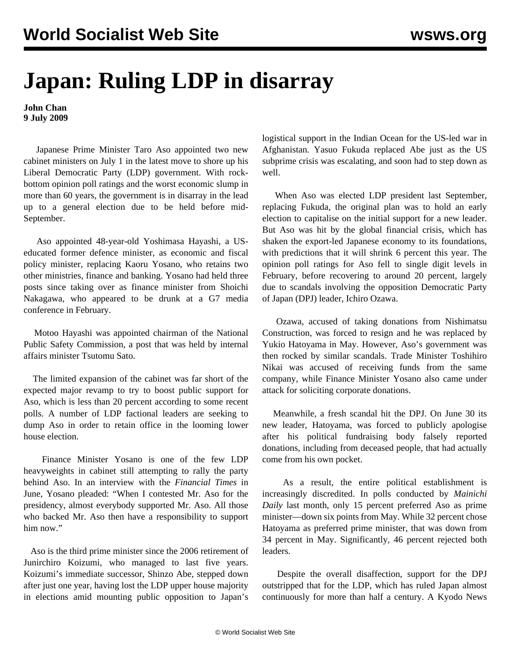## **Japan: Ruling LDP in disarray**

**John Chan 9 July 2009**

 Japanese Prime Minister Taro Aso appointed two new cabinet ministers on July 1 in the latest move to shore up his Liberal Democratic Party (LDP) government. With rockbottom opinion poll ratings and the worst economic slump in more than 60 years, the government is in disarray in the lead up to a general election due to be held before mid-September.

 Aso appointed 48-year-old Yoshimasa Hayashi, a USeducated former defence minister, as economic and fiscal policy minister, replacing Kaoru Yosano, who retains two other ministries, finance and banking. Yosano had held three posts since taking over as finance minister from Shoichi Nakagawa, who appeared to be drunk at a G7 media conference in February.

 Motoo Hayashi was appointed chairman of the National Public Safety Commission, a post that was held by internal affairs minister Tsutomu Sato.

 The limited expansion of the cabinet was far short of the expected major revamp to try to boost public support for Aso, which is less than 20 percent according to some recent polls. A number of LDP factional leaders are seeking to dump Aso in order to retain office in the looming lower house election.

 Finance Minister Yosano is one of the few LDP heavyweights in cabinet still attempting to rally the party behind Aso. In an interview with the *Financial Times* in June, Yosano pleaded: "When I contested Mr. Aso for the presidency, almost everybody supported Mr. Aso. All those who backed Mr. Aso then have a responsibility to support him now."

 Aso is the third prime minister since the 2006 retirement of Junirchiro Koizumi, who managed to last five years. Koizumi's immediate successor, Shinzo Abe, stepped down after just one year, having lost the LDP upper house majority in elections amid mounting public opposition to Japan's

logistical support in the Indian Ocean for the US-led war in Afghanistan. Yasuo Fukuda replaced Abe just as the US subprime crisis was escalating, and soon had to step down as well.

 When Aso was elected LDP president last September, replacing Fukuda, the original plan was to hold an early election to capitalise on the initial support for a new leader. But Aso was hit by the global financial crisis, which has shaken the export-led Japanese economy to its foundations, with predictions that it will shrink 6 percent this year. The opinion poll ratings for Aso fell to single digit levels in February, before recovering to around 20 percent, largely due to scandals involving the opposition Democratic Party of Japan (DPJ) leader, Ichiro Ozawa.

 Ozawa, accused of taking donations from Nishimatsu Construction, was forced to resign and he was replaced by Yukio Hatoyama in May. However, Aso's government was then rocked by similar scandals. Trade Minister Toshihiro Nikai was accused of receiving funds from the same company, while Finance Minister Yosano also came under attack for soliciting corporate donations.

 Meanwhile, a fresh scandal hit the DPJ. On June 30 its new leader, Hatoyama, was forced to publicly apologise after his political fundraising body falsely reported donations, including from deceased people, that had actually come from his own pocket.

 As a result, the entire political establishment is increasingly discredited. In polls conducted by *Mainichi Daily* last month, only 15 percent preferred Aso as prime minister—down six points from May. While 32 percent chose Hatoyama as preferred prime minister, that was down from 34 percent in May. Significantly, 46 percent rejected both leaders.

 Despite the overall disaffection, support for the DPJ outstripped that for the LDP, which has ruled Japan almost continuously for more than half a century. A Kyodo News